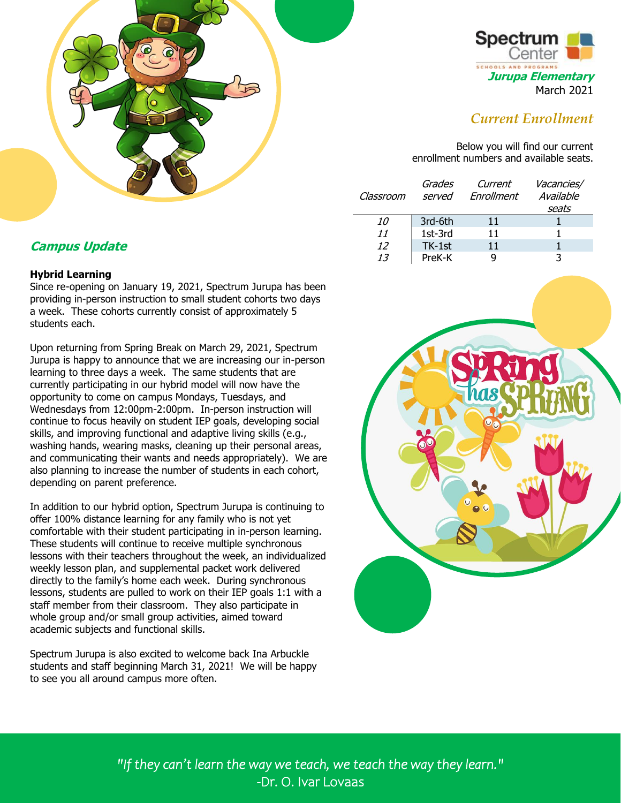



# *Current Enrollment*

Below you will find our current enrollment numbers and available seats.

| Classroom | Grades<br>served | Current<br>Enrollment | Vacancies/<br>Available |
|-----------|------------------|-----------------------|-------------------------|
|           |                  |                       | seats                   |
| 10        | 3rd-6th          | 11                    |                         |
| 11        | 1st-3rd          | 11                    |                         |
| 12        | TK-1st           | 11                    |                         |
| 13        | PreK-K           |                       |                         |

# **Campus Update**

### **Hybrid Learning**

Since re-opening on January 19, 2021, Spectrum Jurupa has been providing in-person instruction to small student cohorts two days a week. These cohorts currently consist of approximately 5 students each.

Upon returning from Spring Break on March 29, 2021, Spectrum Jurupa is happy to announce that we are increasing our in-person learning to three days a week. The same students that are currently participating in our hybrid model will now have the opportunity to come on campus Mondays, Tuesdays, and Wednesdays from 12:00pm-2:00pm. In-person instruction will continue to focus heavily on student IEP goals, developing social skills, and improving functional and adaptive living skills (e.g., washing hands, wearing masks, cleaning up their personal areas, and communicating their wants and needs appropriately). We are also planning to increase the number of students in each cohort, depending on parent preference.

In addition to our hybrid option, Spectrum Jurupa is continuing to offer 100% distance learning for any family who is not yet comfortable with their student participating in in-person learning. These students will continue to receive multiple synchronous lessons with their teachers throughout the week, an individualized weekly lesson plan, and supplemental packet work delivered directly to the family's home each week. During synchronous lessons, students are pulled to work on their IEP goals 1:1 with a staff member from their classroom. They also participate in whole group and/or small group activities, aimed toward academic subjects and functional skills.

Spectrum Jurupa is also excited to welcome back Ina Arbuckle students and staff beginning March 31, 2021! We will be happy to see you all around campus more often.



*"If they can't learn the way we teach, we teach the way they learn."*  -Dr. O. Ivar Lovaas